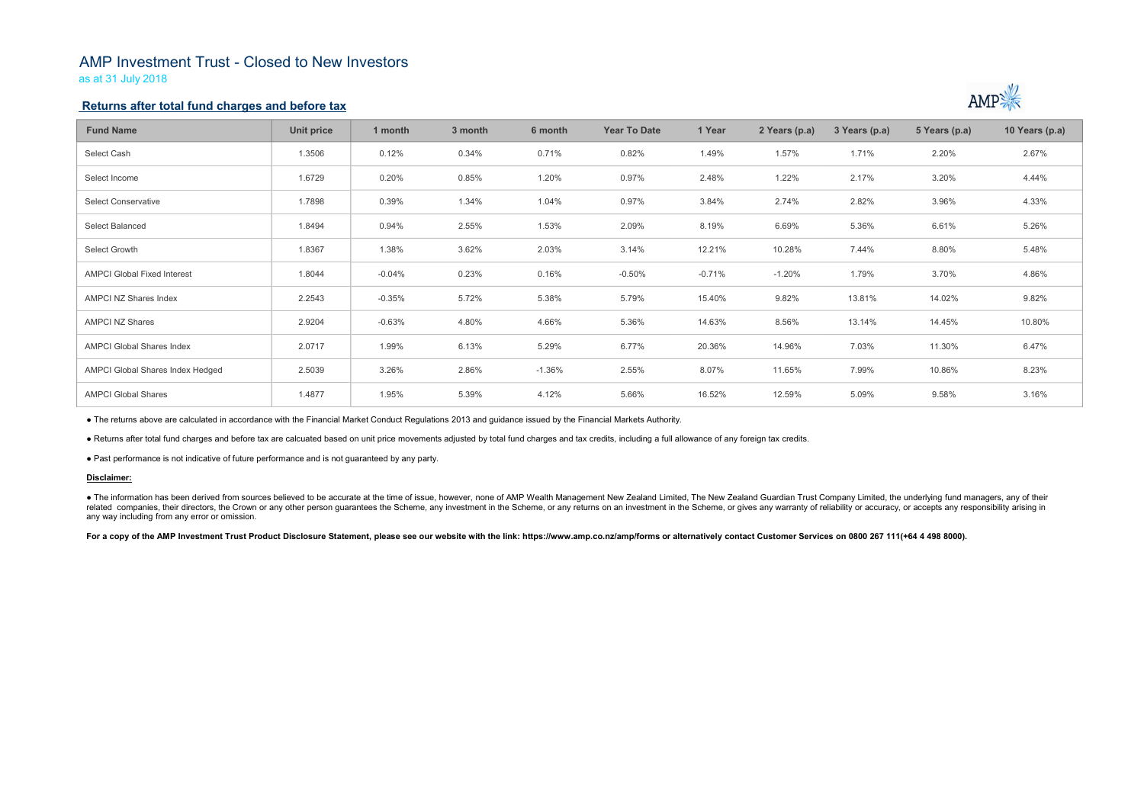## AMP Investment Trust - Closed to New Investors

as at 31 July 2018

### Returns after total fund charges and before tax

| <b>Fund Name</b>                                                                                                                                                                                                                                                                                                                                                                                                                                                                                                 | <b>Unit price</b> | 1 month  | 3 month | 6 month  | <b>Year To Date</b> | 1 Year   | 2 Years (p.a) | 3 Years (p.a) | 5 Years (p.a) | 10 Years (p.a) |
|------------------------------------------------------------------------------------------------------------------------------------------------------------------------------------------------------------------------------------------------------------------------------------------------------------------------------------------------------------------------------------------------------------------------------------------------------------------------------------------------------------------|-------------------|----------|---------|----------|---------------------|----------|---------------|---------------|---------------|----------------|
| Select Cash                                                                                                                                                                                                                                                                                                                                                                                                                                                                                                      | 1.3506            | 0.12%    | 0.34%   | 0.71%    | 0.82%               | 1.49%    | 1.57%         | 1.71%         | 2.20%         | 2.67%          |
| Select Income                                                                                                                                                                                                                                                                                                                                                                                                                                                                                                    | 1.6729            | 0.20%    | 0.85%   | 1.20%    | 0.97%               | 2.48%    | 1.22%         | 2.17%         | 3.20%         | 4.44%          |
| <b>Select Conservative</b>                                                                                                                                                                                                                                                                                                                                                                                                                                                                                       | 1.7898            | 0.39%    | 1.34%   | 1.04%    | 0.97%               | 3.84%    | 2.74%         | 2.82%         | 3.96%         | 4.33%          |
| <b>Select Balanced</b>                                                                                                                                                                                                                                                                                                                                                                                                                                                                                           | 1.8494            | 0.94%    | 2.55%   | 1.53%    | 2.09%               | 8.19%    | 6.69%         | 5.36%         | 6.61%         | 5.26%          |
| Select Growth                                                                                                                                                                                                                                                                                                                                                                                                                                                                                                    | 1.8367            | 1.38%    | 3.62%   | 2.03%    | 3.14%               | 12.21%   | 10.28%        | 7.44%         | 8.80%         | 5.48%          |
| <b>AMPCI Global Fixed Interest</b>                                                                                                                                                                                                                                                                                                                                                                                                                                                                               | 1.8044            | $-0.04%$ | 0.23%   | 0.16%    | $-0.50%$            | $-0.71%$ | $-1.20%$      | 1.79%         | 3.70%         | 4.86%          |
| <b>AMPCI NZ Shares Index</b>                                                                                                                                                                                                                                                                                                                                                                                                                                                                                     | 2.2543            | $-0.35%$ | 5.72%   | 5.38%    | 5.79%               | 15.40%   | 9.82%         | 13.81%        | 14.02%        | 9.82%          |
| <b>AMPCI NZ Shares</b>                                                                                                                                                                                                                                                                                                                                                                                                                                                                                           | 2.9204            | $-0.63%$ | 4.80%   | 4.66%    | 5.36%               | 14.63%   | 8.56%         | 13.14%        | 14.45%        | 10.80%         |
| <b>AMPCI Global Shares Index</b>                                                                                                                                                                                                                                                                                                                                                                                                                                                                                 | 2.0717            | 1.99%    | 6.13%   | 5.29%    | 6.77%               | 20.36%   | 14.96%        | 7.03%         | 11.30%        | 6.47%          |
| <b>AMPCI Global Shares Index Hedged</b>                                                                                                                                                                                                                                                                                                                                                                                                                                                                          | 2.5039            | 3.26%    | 2.86%   | $-1.36%$ | 2.55%               | 8.07%    | 11.65%        | 7.99%         | 10.86%        | 8.23%          |
| <b>AMPCI Global Shares</b>                                                                                                                                                                                                                                                                                                                                                                                                                                                                                       | 1.4877            | 1.95%    | 5.39%   | 4.12%    | 5.66%               | 16.52%   | 12.59%        | 5.09%         | 9.58%         | 3.16%          |
| • The returns above are calculated in accordance with the Financial Market Conduct Regulations 2013 and guidance issued by the Financial Markets Authority.                                                                                                                                                                                                                                                                                                                                                      |                   |          |         |          |                     |          |               |               |               |                |
| . Returns after total fund charges and before tax are calcuated based on unit price movements adjusted by total fund charges and tax credits, including a full allowance of any foreign tax credits.                                                                                                                                                                                                                                                                                                             |                   |          |         |          |                     |          |               |               |               |                |
| • Past performance is not indicative of future performance and is not guaranteed by any party.                                                                                                                                                                                                                                                                                                                                                                                                                   |                   |          |         |          |                     |          |               |               |               |                |
| Disclaimer:                                                                                                                                                                                                                                                                                                                                                                                                                                                                                                      |                   |          |         |          |                     |          |               |               |               |                |
| . The information has been derived from sources believed to be accurate at the time of issue, however, none of AMP Wealth Management New Zealand Limited, The New Zealand Guardian Trust Company Limited, the underlying fund<br>related companies, their directors, the Crown or any other person guarantees the Scheme, any investment in the Scheme, or any returns on an investment in the Scheme, or gives any warranty of reliability or accuracy, or acc<br>any way including from any error or omission. |                   |          |         |          |                     |          |               |               |               |                |
| For a copy of the AMP Investment Trust Product Disclosure Statement, please see our website with the link: https://www.amp.co.nz/amp/forms or alternatively contact Customer Services on 0800 267 111(+64 4 498 8000).                                                                                                                                                                                                                                                                                           |                   |          |         |          |                     |          |               |               |               |                |
|                                                                                                                                                                                                                                                                                                                                                                                                                                                                                                                  |                   |          |         |          |                     |          |               |               |               |                |



### Disclaimer: